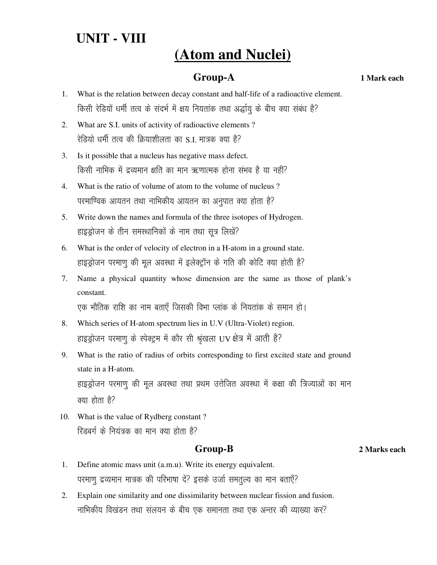# **UNIT - VIII**

# **(Atom and Nuclei)**

## **Group-A 1 Mark each**

- 1. What is the relation between decay constant and half-life of a radioactive element. किसी रेडियों धर्मी तत्व के संदर्भ में क्षय नियतांक तथा अर्द्धायु के बीच क्या संबंध है?
- 2. What are S.I. units of activity of radioactive elements ? रेडियो धर्मी तत्व की क्रियाशीलता का S.I. मात्रक क्या है?
- 3. Is it possible that a nucleus has negative mass defect. किसी नाभिक में द्रव्यमान क्षति का मान ऋणात्मक होना संभव है या नहीं?
- 4. What is the ratio of volume of atom to the volume of nucleus ? परमाण्विक आयतन तथा नाभिकीय आयतन का अनुपात क्या होता है?
- 5. Write down the names and formula of the three isotopes of Hydrogen. हाइड्रोजन के तीन समस्थानिकों के नाम तथा सूत्र लिखें?
- 6. What is the order of velocity of electron in a H-atom in a ground state. हाइड्रोजन परमाणू की मूल अवस्था में इलेक्ट्रॉन के गति की कोटि क्या होती है?
- 7. Name a physical quantity whose dimension are the same as those of plank's constant.

एक भौतिक राशि का नाम बताएँ जिसकी विभा प्लांक के नियतांक के समान हो।

- 8. Which series of H-atom spectrum lies in U.V (Ultra-Violet) region. हाइड्रोजन परमाणु के स्पेक्ट्रम में कौर सी श्रृंखला UV क्षेत्र में आती है?
- 9. What is the ratio of radius of orbits corresponding to first excited state and ground state in a H-atom. हाइड्रोजन परमाणु की मूल अवस्था तथा प्रथम उत्तेजित अवस्था में कक्षा की त्रिज्याओं का मान क्या होता है?
- 10. What is the value of Rydberg constant ? रिडबर्ग के नियंत्रक का मान क्या होता है?

## **Group-B 2 Marks each**

- 1. Define atomic mass unit (a.m.u). Write its energy equivalent. परमाणु द्रव्यमान मात्रक की परिभाषा दें? इसके उर्जा समतुल्य का मान बताएँ?
- 2. Explain one similarity and one dissimilarity between nuclear fission and fusion. नाभिकीय विखंडन तथा संलयन के बीच एक समानता तथा एक अन्तर की व्याख्या कर?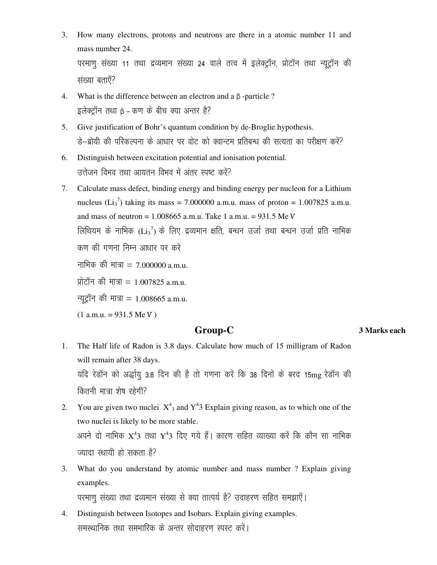- 3. How many electrons, protons and neutrons are there in a atomic number 11 and mass number 24. परमाणु संख्या 11 तथा द्रव्यमान संख्या 24 वाले तत्व में इलेक्ट्रॉन, प्रोटॉन तथा न्यूट्रॉन की संख्या बताएँ?
- 4. What is the difference between an electron and a β -particle ?  $\frac{1}{5}$ लेक्टॉन तथा  $B - \Phi$ ण के बीच क्या अन्तर है?
- 5. Give justification of Bohr's quantum condition by de-Broglie hypothesis. हे–ब्रोयी की परिकल्पना के आधार पर वोट को क्वान्टम प्रतिबन्ध की सत्यता का परीक्षण करें?
- 6. Distinguish between excitation potential and ionisation potential. उत्तेजन विभव तथा आयतन विभव में अंतर स्पष्ट करें?
- 7. Calculate mass defect, binding energy and binding energy per nucleon for a Lithium nucleus  $(Li_3^7)$  taking its mass = 7.000000 a.m.u. mass of proton = 1.007825 a.m.u. and mass of neutron = 1.008665 a.m.u. Take 1 a.m.u. = 931.5 Me Ѵ लिथियम के नाभिक ( $\rm{Li_3}^7$ ) के लिए द्रव्यमान क्षति, बन्धन उर्जा तथा बन्धन उर्जा प्रति नाभिक कण की गणना निम्न आधार पर करें नाभिक की मात्रा = 7.000000 a.m.u. प्रोटॉन की मात्रा = 1.007825 a.m.u. न्यूट्रॉन की मात्रा = 1.008665 a.m.u.  $(1$  a.m.u. = 931.5 Me V)

### **Group-C 3 Marks each**

- 1. The Half life of Radon is 3.8 days. Calculate how much of 15 milligram of Radon will remain after 38 days. यदि रेडॉन को अर्द्धायु 3.8 दिन की है तो गणना करें कि 38 दिनों के बरद 15mg रेडॉन की कितनी मात्रा शेष रहेगी?
- 2. You are given two nuclei  $X^4$ <sub>3</sub> and  $Y^4$ 3 Explain giving reason, as to which one of the two nuclei is likely to be more stable. अपने दो नाभिक  $\mathrm{X}^4$ 3 तथा  $\mathrm{Y}^4$ 3 दिए गये हैं। कारण सहित व्याख्या करें कि कौन सा नाभिक ज्यादा स्थायी हो सकता है?
- 3. What do you understand by atomic number and mass number ? Explain giving examples.

परमाणु संख्या तथा द्रव्यमान संख्या से क्या तात्पर्य है? उदाहरण सहित समझाएँ।

4. Distinguish between Isotopes and Isobars. Explain giving examples. समस्थानिक तथा समभारिक के अन्तर सोदाहरण स्पस्ट करें।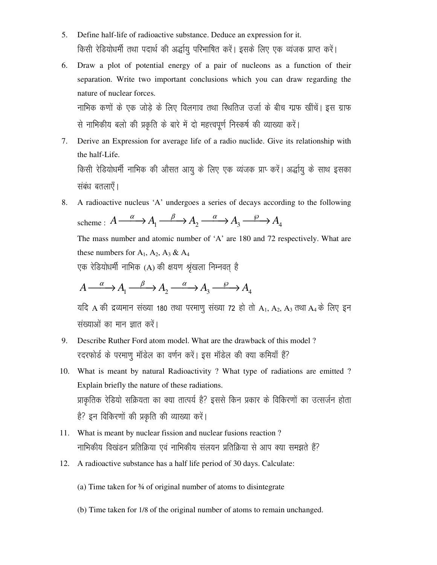- $5<sub>1</sub>$ Define half-life of radioactive substance. Deduce an expression for it. किसी रेडियोधर्मी तथा पदार्थ की अर्द्धायु परिभाषित करें। इसके लिए एक व्यंजक प्राप्त करें।
- Draw a plot of potential energy of a pair of nucleons as a function of their 6. separation. Write two important conclusions which you can draw regarding the nature of nuclear forces.

नाभिक कणों के एक जोड़े के लिए विलगाव तथा स्थितिज उर्जा के बीच ग्राफ खींचें। इस ग्राफ से नाभिकीय बलो की प्रकृति के बारे में दो महत्त्वपूर्ण निस्कर्ष की व्याख्या करें।

- Derive an Expression for average life of a radio nuclide. Give its relationship with 7. the half-Life. किसी रेडियोधर्मी नाभिक की औसत आयु के लिए एक व्यंजक प्राप् करें। अर्द्धायु के साथ इसका संबंध बतलाएँ।
- A radioactive nucleus 'A' undergoes a series of decays according to the following 8. scheme:  $A \xrightarrow{\alpha} A_1 \xrightarrow{\beta} A_2 \xrightarrow{\alpha} A_3 \xrightarrow{\beta} A_4$ The mass number and atomic number of 'A' are 180 and 72 respectively. What are these numbers for  $A_1$ ,  $A_2$ ,  $A_3$  &  $A_4$

एक रेडियोधर्मी नाभिक (A) की क्षयण श्रृंखला निम्नवत् है

$$
A \xrightarrow{\alpha} A_1 \xrightarrow{\beta} A_2 \xrightarrow{\alpha} A_3 \xrightarrow{\beta} A_4
$$

यदि A की द्रव्यमान संख्या 180 तथा परमाणु संख्या 72 हो तो A1, A2, A3 तथा A4 के लिए इन संख्याओं का मान ज्ञात करें।

- Describe Ruther Ford atom model. What are the drawback of this model? 9. रदरफोर्ड के परमाणु मॉडेल का वर्णन करें। इस मॉडेल की क्या कमियाँ हैं?
- 10. What is meant by natural Radioactivity ? What type of radiations are emitted ? Explain briefly the nature of these radiations. प्राकृतिक रेडियो सक्रियता का क्या तात्पर्य है? इससे किन प्रकार के विकिरणों का उत्सर्जन होता है? इन विकिरणों की प्रकृति की व्याख्या करें।
- 11. What is meant by nuclear fission and nuclear fusions reaction? नाभिकीय विखंडन प्रतिक्रिया एवं नाभिकीय संलयन प्रतिक्रिया से आप क्या समझते हैं?
- 12. A radioactive substance has a half life period of 30 days. Calculate:
	- (a) Time taken for  $\frac{3}{4}$  of original number of atoms to disintegrate
	- (b) Time taken for 1/8 of the original number of atoms to remain unchanged.